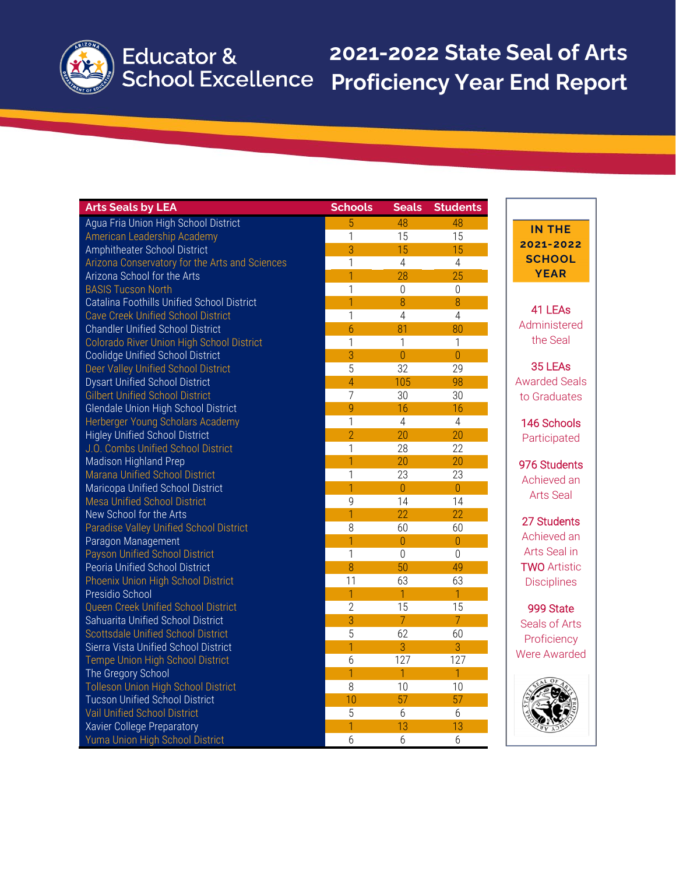# **2021-2022 State Seal of Arts Proficiency Year End Report**

| <b>Arts Seals by LEA</b>                         | <b>Schools</b> | <b>Seals</b>    | <b>Students</b>  |
|--------------------------------------------------|----------------|-----------------|------------------|
| Agua Fria Union High School District             | 5              | 48              | 48               |
| American Leadership Academy                      | 1              | 15              | 15               |
| Amphitheater School District                     | 3              | 15              | 15               |
| Arizona Conservatory for the Arts and Sciences   | $\mathbf{1}$   | $\overline{4}$  | $\overline{4}$   |
| <b>Arizona School for the Arts</b>               | 1              | 28              | 25               |
| <b>BASIS Tucson North</b>                        | $\overline{1}$ | $\mathbf 0$     | $\boldsymbol{0}$ |
| Catalina Foothills Unified School District       | $\overline{1}$ | 8               | 8                |
| <b>Cave Creek Unified School District</b>        | $\mathbf{1}$   | $\overline{4}$  | $\overline{4}$   |
| <b>Chandler Unified School District</b>          | $\overline{6}$ | 81              | 80               |
| <b>Colorado River Union High School District</b> | $\mathbf{1}$   | 1               | $\mathbf{1}$     |
| Coolidge Unified School District                 | 3              | $\overline{0}$  | $\overline{0}$   |
| Deer Valley Unified School District              | $\overline{5}$ | $\overline{32}$ | 29               |
| <b>Dysart Unified School District</b>            | $\overline{4}$ | 105             | 98               |
| <b>Gilbert Unified School District</b>           | $\overline{7}$ | 30              | 30               |
| Glendale Union High School District              | 9              | 16              | 16               |
| Herberger Young Scholars Academy                 | $\mathbf{1}$   | $\overline{4}$  | $\overline{4}$   |
| <b>Higley Unified School District</b>            | $\overline{2}$ | 20              | 20               |
| J.O. Combs Unified School District               | $\mathbf{1}$   | 28              | 22               |
| Madison Highland Prep                            | $\overline{1}$ | 20              | 20               |
| Marana Unified School District                   | 1              | 23              | 23               |
| Maricopa Unified School District                 | 1              | $\overline{0}$  | $\overline{0}$   |
| <b>Mesa Unified School District</b>              | $\mathsf g$    | 14              | 14               |
| New School for the Arts                          | 1              | 22              | 22               |
| <b>Paradise Valley Unified School District</b>   | 8              | 60              | 60               |
| Paragon Management                               | $\overline{1}$ | $\overline{0}$  | $\overline{0}$   |
| <b>Payson Unified School District</b>            | $\mathbf{1}$   | $\overline{0}$  | $\overline{0}$   |
| Peoria Unified School District                   | 8              | 50              | 49               |
| <b>Phoenix Union High School District</b>        | 11             | 63              | 63               |
| Presidio School                                  | 1              | 1               | $\mathbf{1}$     |
| Queen Creek Unified School District              | $\overline{2}$ | 15              | 15               |
| Sahuarita Unified School District                | 3              | $\overline{7}$  | $\overline{7}$   |
| <b>Scottsdale Unified School District</b>        | 5              | 62              | 60               |
| Sierra Vista Unified School District             | $\mathbf{1}$   | 3               | 3                |
| Tempe Union High School District                 | 6              | 127             | 127              |
| The Gregory School                               | 1              | 1               | $\overline{1}$   |
| <b>Tolleson Union High School District</b>       | 8              | 10              | 10               |
| <b>Tucson Unified School District</b>            | 10             | 57              | 57               |
| <b>Vail Unified School District</b>              | $\overline{5}$ | 6               | 6                |
| Xavier College Preparatory                       | $\overline{1}$ | 13              | 13               |
| Yuma Union High School District                  | $\overline{6}$ | $6\phantom{.}6$ | $6\phantom{.}6$  |

### **IN THE 2021-2022 SCHOOL YEAR**

### 41 LEAs Administered the Seal

35 LEAs Awarded Seals to Graduates

146 Schools Participated

976 Students Achieved an Arts Seal

27 Students Achieved an Arts Seal in TWO Artistic Disciplines

999 State Seals of Arts Proficiency Were Awarded